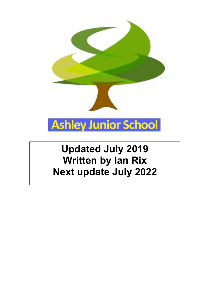

# **Updated July 2019 Written by Ian Rix Next update July 2022**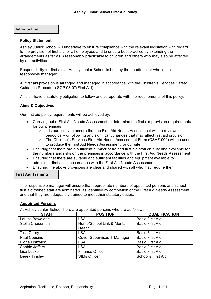# **Introduction**

## **Policy Statement**

Ashley Junior School will undertake to ensure compliance with the relevant legislation with regard to the provision of first aid for all employees and to ensure best practice by extending the arrangements as far as is reasonably practicable to children and others who may also be affected by our activities.

Responsibility for first aid at Ashley Junior School is held by the headteacher who is the responsible manager.

All first aid provision is arranged and managed in accordance with the Children's Services Safety Guidance Procedure SGP 08-07(First Aid).

All staff have a statutory obligation to follow and co-operate with the requirements of this policy.

# **Aims & Objectives**

Our first aid policy requirements will be achieved by:

- Carrying out a First Aid Needs Assessment to determine the first aid provision requirements for our premises
	- $\circ$  It is our policy to ensure that the First Aid Needs Assessment will be reviewed periodically or following any significant changes that may affect first aid provision
	- o The Children's Services First Aid Needs Assessment Form (CSAF-002) will be used to produce the First Aid Needs Assessment for our site
- Ensuring that there are a sufficient number of trained first aid staff on duty and available for the numbers and risks on the premises in accordance with the First Aid Needs Assessment
- Ensuring that there are suitable and sufficient facilities and equipment available to administer first aid in accordance with the First Aid Needs Assessment
- Ensuring the above provisions are clear and shared with all who may require them

## **First Aid Training**

The responsible manager will ensure that appropriate numbers of appointed persons and school first aid trained staff are nominated, as identified by completion of the First Aid Needs Assessment, and that they are adequately trained to meet their statutory duties.

## **Appointed Persons**

At Ashley Junior School there are appointed persons who are as follows:

| <b>STAFF</b>          | . .<br><b>POSITION</b>             | <b>QUALIFICATION</b>      |
|-----------------------|------------------------------------|---------------------------|
| Louise Bowdidge       | <b>LSA</b>                         | <b>Basic First Aid</b>    |
| Stella Cheesman       | Home/School Link & Mental          | <b>Basic First Aid</b>    |
|                       | Health                             |                           |
| Tina Carey            | <b>LSA</b>                         | <b>Basic First Aid</b>    |
| <b>Paul Cousins</b>   | <b>Cover Supervisor/IT Manager</b> | <b>Basic First Aid</b>    |
| <b>Fiona Fishwick</b> | <b>LSA</b>                         | <b>Basic First Aid</b>    |
| Sophie Jeffery        | <b>LSA</b>                         | <b>Basic First Aid</b>    |
| Lisa Locke            | <b>Finance Officer</b>             | <b>Basic First Aid</b>    |
| <b>Derek Tinsley</b>  | <b>SIMs Officer</b>                | <b>School's First Aid</b> |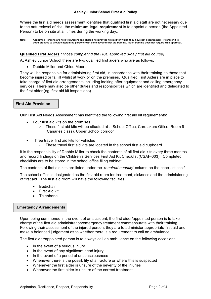#### **Ashley Junior School First Aid Policy**

Where the first aid needs assessment identifies that qualified first aid staff are not necessary due to the nature/level of risk, the **minimum legal requirement** is to appoint a person (the Appointed Person) to be on site at all times during the working day..

**Note: Appointed Persons are not First Aiders and should not provide first aid for which they have not been trained. However it is good practice to provide appointed persons with some level of first aid training. Such training does not require HSE approval.**

## **Qualified First Aiders** *(Those completing the HSE approved 3-day first aid course)*

At Ashley Junior School there are two qualified first aiders who are as follows:

• Debbie Miller and Chloe Moore

They will be responsible for administering first aid, in accordance with their training, to those that become injured or fall ill whilst at work or on the premises. Qualified First Aiders are in place to take charge of first aid arrangements including looking after equipment and calling emergency services. There may also be other duties and responsibilities which are identified and delegated to the first aider (eg. first aid kit inspections).

# **First Aid Provision**

Our First Aid Needs Assessment has identified the following first aid kit requirements:

- Four first aid kits on the premises
	- o These first aid kits will be situated at :- School Office, Caretakers Office, Room 9 (Canaries class), Upper School corridor
- Three travel first aid kits for vehicles
	- o These travel first aid kits are located in the school first aid cupboard

It is the responsibility of Debbie Miller to check the contents of all first aid kits every three months and record findings on the Children's Services First Aid Kit Checklist (CSAF-003). Completed checklists are to be stored in the school office filing cabinet

The contents of first aid kits are listed under the *'required quantity'* column on the checklist itself.

The school office is designated as the first aid room for treatment, sickness and the administering of first aid. The first aid room will have the following facilities:

- Bed/chair
- First Aid kit
- **Telephone**

## **Emergency Arrangements**

Upon being summoned in the event of an accident, the first aider/appointed person is to take charge of the first aid administration/emergency treatment commensurate with their training. Following their assessment of the injured person, they are to administer appropriate first aid and make a balanced judgement as to whether there is a requirement to call an ambulance.

The first aider/appointed person is to always call an ambulance on the following occasions:

- In the event of a serious injury
- In the event of any significant head injury
- In the event of a period of unconsciousness
- Whenever there is the possibility of a fracture or where this is suspected
- Whenever the first aider is unsure of the severity of the injuries
- Whenever the first aider is unsure of the correct treatment